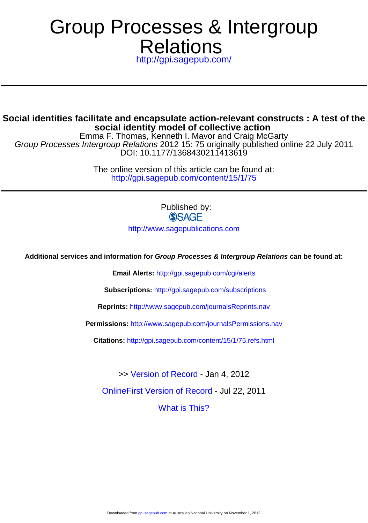# Relations Group Processes & Intergroup

<http://gpi.sagepub.com/>

# **social identity model of collective action Social identities facilitate and encapsulate action-relevant constructs : A test of the**

DOI: 10.1177/1368430211413619 Group Processes Intergroup Relations 2012 15: 75 originally published online 22 July 2011 Emma F. Thomas, Kenneth I. Mavor and Craig McGarty

> <http://gpi.sagepub.com/content/15/1/75> The online version of this article can be found at:

> > Published by: **SSAGF**

<http://www.sagepublications.com>

**Additional services and information for Group Processes & Intergroup Relations can be found at:**

**Email Alerts:** <http://gpi.sagepub.com/cgi/alerts>

**Subscriptions:** <http://gpi.sagepub.com/subscriptions>

**Reprints:** <http://www.sagepub.com/journalsReprints.nav>

**Permissions:** <http://www.sagepub.com/journalsPermissions.nav>

**Citations:** <http://gpi.sagepub.com/content/15/1/75.refs.html>

>> [Version of Record -](http://gpi.sagepub.com/content/15/1/75.full.pdf) Jan 4, 2012

[OnlineFirst Version of Record](http://gpi.sagepub.com/content/early/2011/07/21/1368430211413619.full.pdf) - Jul 22, 2011

[What is This?](http://online.sagepub.com/site/sphelp/vorhelp.xhtml)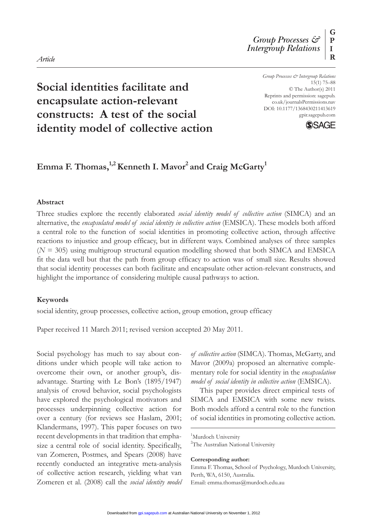**G P**  *Group Processes & Intergroup Relations*

**I R**

# **Social identities facilitate and encapsulate action-relevant constructs: A test of the social identity model of collective action**

*Group Processes & Intergroup Relations* 15(1) 75–88 © The Author(s) 2011 Reprints and permission: sagepub. co.uk/journalsPermissions.nav DOI: 10.1177/1368430211413619 gpir.sagepub.com



# Emma F. Thomas,<sup>1,2</sup> Kenneth I. Mavor<sup>2</sup> and Craig McGarty<sup>1</sup>

#### **Abstract**

Three studies explore the recently elaborated *social identity model of collective action* (SIMCA) and an alternative, the *encapsulated model of social identity in collective action* (EMSICA). These models both afford a central role to the function of social identities in promoting collective action, through affective reactions to injustice and group efficacy, but in different ways. Combined analyses of three samples (*N* = 305) using multigroup structural equation modelling showed that both SIMCA and EMSICA fit the data well but that the path from group efficacy to action was of small size. Results showed that social identity processes can both facilitate and encapsulate other action-relevant constructs, and highlight the importance of considering multiple causal pathways to action.

#### **Keywords**

social identity, group processes, collective action, group emotion, group efficacy

Paper received 11 March 2011; revised version accepted 20 May 2011.

Social psychology has much to say about conditions under which people will take action to overcome their own, or another group's, disadvantage. Starting with Le Bon's (1895/1947) analysis of crowd behavior, social psychologists have explored the psychological motivators and processes underpinning collective action for over a century (for reviews see Haslam, 2001; Klandermans, 1997). This paper focuses on two recent developments in that tradition that emphasize a central role of social identity. Specifically, van Zomeren, Postmes, and Spears (2008) have recently conducted an integrative meta-analysis of collective action research, yielding what van Zomeren et al. (2008) call the *social identity model*  *of collective action* (SIMCA). Thomas, McGarty, and Mavor (2009a) proposed an alternative complementary role for social identity in the *encapsulation model of social identity in collective action* (EMSICA).

This paper provides direct empirical tests of SIMCA and EMSICA with some new twists. Both models afford a central role to the function of social identities in promoting collective action.

<sup>2</sup>The Australian National University

#### **Corresponding author:**

Emma F. Thomas, School of Psychology, Murdoch University, Perth, WA, 6150, Australia. Email: emma.thomas@murdoch.edu.au

<sup>&</sup>lt;sup>1</sup>Murdoch University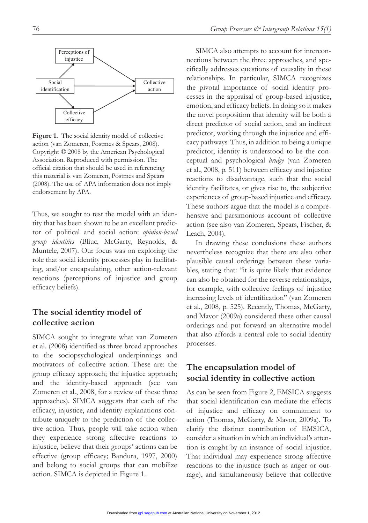

Figure 1. The social identity model of collective action (van Zomeren, Postmes & Spears, 2008). Copyright © 2008 by the American Psychological Association. Reproduced with permission. The official citation that should be used in referencing this material is van Zomeren, Postmes and Spears (2008). The use of APA information does not imply endorsement by APA.

Thus, we sought to test the model with an identity that has been shown to be an excellent predictor of political and social action: *opinion-based group identities* (Bliuc, McGarty, Reynolds, & Muntele, 2007). Our focus was on exploring the role that social identity processes play in facilitating, and/or encapsulating, other action-relevant reactions (perceptions of injustice and group efficacy beliefs).

# **The social identity model of collective action**

SIMCA sought to integrate what van Zomeren et al. (2008) identified as three broad approaches to the sociopsychological underpinnings and motivators of collective action. These are: the group efficacy approach; the injustice approach; and the identity-based approach (see van Zomeren et al., 2008, for a review of these three approaches). SIMCA suggests that each of the efficacy, injustice, and identity explanations contribute uniquely to the prediction of the collective action. Thus, people will take action when they experience strong affective reactions to injustice, believe that their groups' actions can be effective (group efficacy; Bandura, 1997, 2000) and belong to social groups that can mobilize action. SIMCA is depicted in Figure 1.

SIMCA also attempts to account for interconnections between the three approaches, and specifically addresses questions of causality in these relationships. In particular, SIMCA recognizes the pivotal importance of social identity processes in the appraisal of group-based injustice, emotion, and efficacy beliefs. In doing so it makes the novel proposition that identity will be both a direct predictor of social action, and an indirect predictor, working through the injustice and efficacy pathways. Thus, in addition to being a unique predictor, identity is understood to be the conceptual and psychological *bridge* (van Zomeren et al., 2008, p. 511) between efficacy and injustice reactions to disadvantage, such that the social identity facilitates, or gives rise to, the subjective experiences of group-based injustice and efficacy. These authors argue that the model is a comprehensive and parsimonious account of collective action (see also van Zomeren, Spears, Fischer, & Leach, 2004).

In drawing these conclusions these authors nevertheless recognize that there are also other plausible causal orderings between these variables, stating that: "it is quite likely that evidence can also be obtained for the reverse relationships, for example, with collective feelings of injustice increasing levels of identification" (van Zomeren et al., 2008, p. 525). Recently, Thomas, McGarty, and Mavor (2009a) considered these other causal orderings and put forward an alternative model that also affords a central role to social identity processes.

# **The encapsulation model of social identity in collective action**

As can be seen from Figure 2, EMSICA suggests that social identification can mediate the effects of injustice and efficacy on commitment to action (Thomas, McGarty, & Mavor, 2009a). To clarify the distinct contribution of EMSICA, consider a situation in which an individual's attention is caught by an instance of social injustice. That individual may experience strong affective reactions to the injustice (such as anger or outrage), and simultaneously believe that collective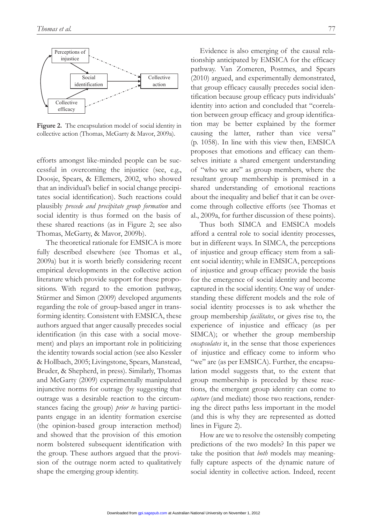

Figure 2. The encapsulation model of social identity in collective action (Thomas, McGarty & Mavor, 2009a).

efforts amongst like-minded people can be successful in overcoming the injustice (see, e.g., Doosje, Spears, & Ellemers, 2002, who showed that an individual's belief in social change precipitates social identification). Such reactions could plausibly *precede and precipitate group formation* and social identity is thus formed on the basis of these shared reactions (as in Figure 2; see also Thomas, McGarty, & Mavor, 2009b).

The theoretical rationale for EMSICA is more fully described elsewhere (see Thomas et al., 2009a) but it is worth briefly considering recent empirical developments in the collective action literature which provide support for these propositions. With regard to the emotion pathway, Stürmer and Simon (2009) developed arguments regarding the role of group-based anger in transforming identity. Consistent with EMSICA, these authors argued that anger causally precedes social identification (in this case with a social movement) and plays an important role in politicizing the identity towards social action (see also Kessler & Hollbach, 2005; Livingstone, Spears, Manstead, Bruder, & Shepherd, in press). Similarly, Thomas and McGarty (2009) experimentally manipulated injunctive norms for outrage (by suggesting that outrage was a desirable reaction to the circumstances facing the group) *prior to* having participants engage in an identity formation exercise (the opinion-based group interaction method) and showed that the provision of this emotion norm bolstered subsequent identification with the group. These authors argued that the provision of the outrage norm acted to qualitatively shape the emerging group identity.

Evidence is also emerging of the causal relationship anticipated by EMSICA for the efficacy pathway. Van Zomeren, Postmes, and Spears (2010) argued, and experimentally demonstrated, that group efficacy causally precedes social identification because group efficacy puts individuals' identity into action and concluded that "correlation between group efficacy and group identification may be better explained by the former causing the latter, rather than vice versa" (p. 1058). In line with this view then, EMSICA proposes that emotions and efficacy can themselves initiate a shared emergent understanding of "who we are" as group members, where the resultant group membership is premised in a shared understanding of emotional reactions about the inequality and belief that it can be overcome through collective efforts (see Thomas et al., 2009a, for further discussion of these points).

Thus both SIMCA and EMSICA models afford a central role to social identity processes, but in different ways. In SIMCA, the perceptions of injustice and group efficacy stem from a salient social identity; while in EMSICA, perceptions of injustice and group efficacy provide the basis for the emergence of social identity and become captured in the social identity. One way of understanding these different models and the role of social identity processes is to ask whether the group membership *facilitates*, or gives rise to, the experience of injustice and efficacy (as per SIMCA); or whether the group membership *encapsulates* it, in the sense that those experiences of injustice and efficacy come to inform who "we" are (as per EMSICA). Further, the encapsulation model suggests that, to the extent that group membership is preceded by these reactions, the emergent group identity can come to *capture* (and mediate) those two reactions, rendering the direct paths less important in the model (and this is why they are represented as dotted lines in Figure 2).

How are we to resolve the ostensibly competing predictions of the two models? In this paper we take the position that *both* models may meaningfully capture aspects of the dynamic nature of social identity in collective action. Indeed, recent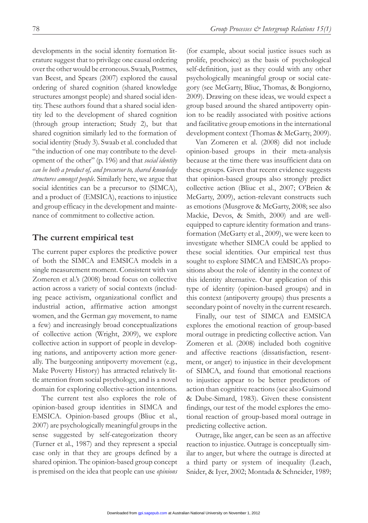developments in the social identity formation literature suggest that to privilege one causal ordering over the other would be erroneous. Swaab, Postmes, van Beest, and Spears (2007) explored the causal ordering of shared cognition (shared knowledge structures amongst people) and shared social identity. These authors found that a shared social identity led to the development of shared cognition (through group interaction; Study 2), but that shared cognition similarly led to the formation of social identity (Study 3). Swaab et al. concluded that "the induction of one may contribute to the development of the other" (p. 196) and that *social identity can be both a product of, and precursor to, shared knowledge structures amongst people*. Similarly here, we argue that social identities can be a precursor to (SIMCA), and a product of (EMSICA), reactions to injustice and group efficacy in the development and maintenance of commitment to collective action.

## **The current empirical test**

The current paper explores the predictive power of both the SIMCA and EMSICA models in a single measurement moment. Consistent with van Zomeren et al.'s (2008) broad focus on collective action across a variety of social contexts (including peace activism, organizational conflict and industrial action, affirmative action amongst women, and the German gay movement, to name a few) and increasingly broad conceptualizations of collective action (Wright, 2009), we explore collective action in support of people in developing nations, and antipoverty action more generally. The burgeoning antipoverty movement (e.g., Make Poverty History) has attracted relatively little attention from social psychology, and is a novel domain for exploring collective-action intentions.

The current test also explores the role of opinion-based group identities in SIMCA and EMSICA. Opinion-based groups (Bliuc et al., 2007) are psychologically meaningful groups in the sense suggested by self-categorization theory (Turner et al., 1987) and they represent a special case only in that they are groups defined by a shared opinion. The opinion-based group concept is premised on the idea that people can use *opinions* (for example, about social justice issues such as prolife, prochoice) as the basis of psychological self-definition, just as they could with any other psychologically meaningful group or social category (see McGarty, Bliuc, Thomas, & Bongiorno, 2009). Drawing on these ideas, we would expect a group based around the shared antipoverty opinion to be readily associated with positive actions and facilitative group emotions in the international development context (Thomas & McGarty, 2009).

Van Zomeren et al. (2008) did not include opinion-based groups in their meta-analysis because at the time there was insufficient data on these groups. Given that recent evidence suggests that opinion-based groups also strongly predict collective action (Bliuc et al., 2007; O'Brien & McGarty, 2009), action-relevant constructs such as emotions (Musgrove & McGarty, 2008; see also Mackie, Devos, & Smith, 2000) and are wellequipped to capture identity formation and transformation (McGarty et al., 2009), we were keen to investigate whether SIMCA could be applied to these social identities. Our empirical test thus sought to explore SIMCA and EMSICA's propositions about the role of identity in the context of this identity alternative. Our application of this type of identity (opinion-based groups) and in this context (antipoverty groups) thus presents a secondary point of novelty in the current research.

Finally, our test of SIMCA and EMSICA explores the emotional reaction of group-based moral outrage in predicting collective action. Van Zomeren et al. (2008) included both cognitive and affective reactions (dissatisfaction, resentment, or anger) to injustice in their development of SIMCA, and found that emotional reactions to injustice appear to be better predictors of action than cognitive reactions (see also Guimond & Dube-Simard, 1983). Given these consistent findings, our test of the model explores the emotional reaction of group-based moral outrage in predicting collective action.

Outrage, like anger, can be seen as an affective reaction to injustice. Outrage is conceptually similar to anger, but where the outrage is directed at a third party or system of inequality (Leach, Snider, & Iyer, 2002; Montada & Schneider, 1989;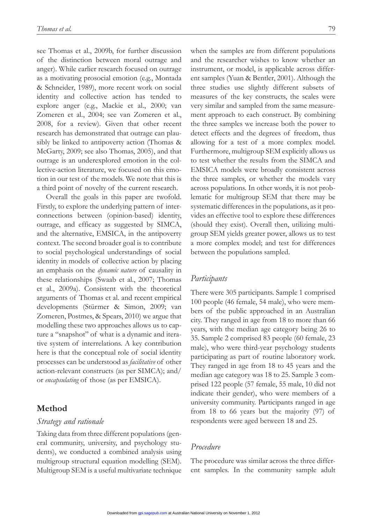see Thomas et al., 2009b, for further discussion of the distinction between moral outrage and anger). While earlier research focused on outrage as a motivating prosocial emotion (e.g., Montada & Schneider, 1989), more recent work on social identity and collective action has tended to explore anger (e.g., Mackie et al., 2000; van Zomeren et al., 2004; see van Zomeren et al., 2008, for a review). Given that other recent research has demonstrated that outrage can plausibly be linked to antipoverty action (Thomas & McGarty, 2009; see also Thomas, 2005), and that outrage is an underexplored emotion in the collective-action literature, we focused on this emotion in our test of the models. We note that this is a third point of novelty of the current research.

Overall the goals in this paper are twofold. Firstly, to explore the underlying pattern of interconnections between (opinion-based) identity, outrage, and efficacy as suggested by SIMCA, and the alternative, EMSICA, in the antipoverty context. The second broader goal is to contribute to social psychological understandings of social identity in models of collective action by placing an emphasis on the *dynamic nature* of causality in these relationships (Swaab et al., 2007; Thomas et al., 2009a). Consistent with the theoretical arguments of Thomas et al. and recent empirical developments (Stürmer & Simon, 2009; van Zomeren, Postmes, & Spears, 2010) we argue that modelling these two approaches allows us to capture a "snapshot" of what is a dynamic and iterative system of interrelations. A key contribution here is that the conceptual role of social identity processes can be understood as *facilitative* of other action-relevant constructs (as per SIMCA); and/ or *encapsulating* of those (as per EMSICA).

### **Method**

#### *Strategy and rationale*

Taking data from three different populations (general community, university, and psychology students), we conducted a combined analysis using multigroup structural equation modelling (SEM). Multigroup SEM is a useful multivariate technique

when the samples are from different populations and the researcher wishes to know whether an instrument, or model, is applicable across different samples (Yuan & Bentler, 2001). Although the three studies use slightly different subsets of measures of the key constructs, the scales were very similar and sampled from the same measurement approach to each construct. By combining the three samples we increase both the power to detect effects and the degrees of freedom, thus allowing for a test of a more complex model. Furthermore, multigroup SEM explicitly allows us to test whether the results from the SIMCA and EMSICA models were broadly consistent across the three samples, or whether the models vary across populations. In other words, it is not problematic for multigroup SEM that there may be systematic differences in the populations, as it provides an effective tool to explore these differences (should they exist). Overall then, utilizing multigroup SEM yields greater power, allows us to test a more complex model; and test for differences between the populations sampled.

#### *Participants*

There were 305 participants. Sample 1 comprised 100 people (46 female, 54 male), who were members of the public approached in an Australian city. They ranged in age from 18 to more than 66 years, with the median age category being 26 to 35. Sample 2 comprised 83 people (60 female, 23 male), who were third-year psychology students participating as part of routine laboratory work. They ranged in age from 18 to 45 years and the median age category was 18 to 25. Sample 3 comprised 122 people (57 female, 55 male, 10 did not indicate their gender), who were members of a university community. Participants ranged in age from 18 to 66 years but the majority (97) of respondents were aged between 18 and 25.

#### *Procedure*

The procedure was similar across the three different samples. In the community sample adult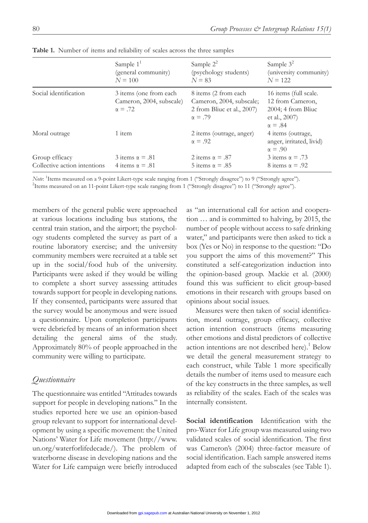|                              | Sample $11$                                                           | Sample $2^2$                                                                                     | Sample $3^2$                                                                                          |
|------------------------------|-----------------------------------------------------------------------|--------------------------------------------------------------------------------------------------|-------------------------------------------------------------------------------------------------------|
|                              | (general community)                                                   | (psychology students)                                                                            | (university community)                                                                                |
|                              | $N = 100$                                                             | $N = 83$                                                                                         | $N = 122$                                                                                             |
| Social identification        | 3 items (one from each)<br>Cameron, 2004, subscale)<br>$\alpha = .72$ | 8 items (2 from each<br>Cameron, 2004, subscale;<br>2 from Bliuc et al., 2007)<br>$\alpha = .79$ | 16 items (full scale.<br>12 from Cameron,<br>$2004$ ; 4 from Bliuc<br>et al., 2007)<br>$\alpha = .84$ |
| Moral outrage                | 1 item                                                                | 2 items (outrage, anger)<br>$\alpha = .92$                                                       | 4 items (outrage,<br>anger, irritated, livid)<br>$\alpha = .90$                                       |
| Group efficacy               | $3$ items $\alpha = .81$                                              | 2 items $\alpha = .87$                                                                           | $3$ items $\alpha = .73$                                                                              |
| Collective action intentions | 4 items $\alpha$ = .81                                                | 5 items $\alpha = .85$                                                                           | $8$ items $\alpha = .92$                                                                              |

**Table 1.** Number of items and reliability of scales across the three samples

*Note*: 1 Items measured on a 9-point Likert-type scale ranging from 1 ("Strongly disagree") to 9 ("Strongly agree"). 2 Items measured on an 11-point Likert-type scale ranging from 1 ("Strongly disagree") to 11 ("Strongly agree").

members of the general public were approached at various locations including bus stations, the central train station, and the airport; the psychology students completed the survey as part of a routine laboratory exercise; and the university community members were recruited at a table set up in the social/food hub of the university. Participants were asked if they would be willing to complete a short survey assessing attitudes towards support for people in developing nations. If they consented, participants were assured that the survey would be anonymous and were issued a questionnaire. Upon completion participants were debriefed by means of an information sheet detailing the general aims of the study. Approximately 80% of people approached in the community were willing to participate.

## *Questionnaire*

The questionnaire was entitled "Attitudes towards support for people in developing nations." In the studies reported here we use an opinion-based group relevant to support for international development by using a specific movement: the United Nations' Water for Life movement (http://www. un.org/waterforlifedecade/). The problem of waterborne disease in developing nations and the Water for Life campaign were briefly introduced

as "an international call for action and cooperation … and is committed to halving, by 2015, the number of people without access to safe drinking water," and participants were then asked to tick a box (Yes or No) in response to the question: "Do you support the aims of this movement?" This constituted a self-categorization induction into the opinion-based group. Mackie et al. (2000) found this was sufficient to elicit group-based emotions in their research with groups based on opinions about social issues.

Measures were then taken of social identification, moral outrage, group efficacy, collective action intention constructs (items measuring other emotions and distal predictors of collective action intentions are not described here).<sup>1</sup> Below we detail the general measurement strategy to each construct, while Table 1 more specifically details the number of items used to measure each of the key constructs in the three samples, as well as reliability of the scales. Each of the scales was internally consistent.

**Social identification** Identification with the pro-Water for Life group was measured using two validated scales of social identification. The first was Cameron's (2004) three-factor measure of social identification. Each sample answered items adapted from each of the subscales (see Table 1).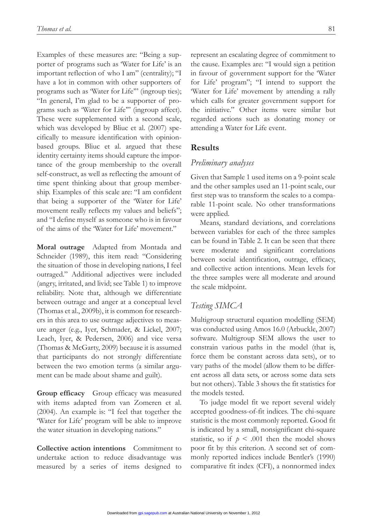Examples of these measures are: "Being a supporter of programs such as 'Water for Life' is an important reflection of who I am" (centrality); "I have a lot in common with other supporters of programs such as 'Water for Life'" (ingroup ties); "In general, I'm glad to be a supporter of programs such as 'Water for Life'" (ingroup affect). These were supplemented with a second scale, which was developed by Bliuc et al. (2007) specifically to measure identification with opinionbased groups. Bliuc et al. argued that these identity certainty items should capture the importance of the group membership to the overall self-construct, as well as reflecting the amount of time spent thinking about that group membership. Examples of this scale are: "I am confident that being a supporter of the 'Water for Life' movement really reflects my values and beliefs"; and "I define myself as someone who is in favour of the aims of the 'Water for Life' movement."

**Moral outrage** Adapted from Montada and Schneider (1989), this item read: "Considering the situation of those in developing nations, I feel outraged." Additional adjectives were included (angry, irritated, and livid; see Table 1) to improve reliability. Note that, although we differentiate between outrage and anger at a conceptual level (Thomas et al., 2009b), it is common for researchers in this area to use outrage adjectives to measure anger (e.g., Iyer, Schmader, & Lickel, 2007; Leach, Iyer, & Pedersen, 2006) and vice versa (Thomas & McGarty, 2009) because it is assumed that participants do not strongly differentiate between the two emotion terms (a similar argument can be made about shame and guilt).

**Group efficacy** Group efficacy was measured with items adapted from van Zomeren et al. (2004). An example is: "I feel that together the 'Water for Life' program will be able to improve the water situation in developing nations."

**Collective action intentions** Commitment to undertake action to reduce disadvantage was measured by a series of items designed to represent an escalating degree of commitment to the cause. Examples are: "I would sign a petition in favour of government support for the 'Water for Life' program"; "I intend to support the 'Water for Life' movement by attending a rally which calls for greater government support for the initiative." Other items were similar but regarded actions such as donating money or attending a Water for Life event.

# **Results**

# *Preliminary analyses*

Given that Sample 1 used items on a 9-point scale and the other samples used an 11-point scale, our first step was to transform the scales to a comparable 11-point scale. No other transformations were applied.

Means, standard deviations, and correlations between variables for each of the three samples can be found in Table 2. It can be seen that there were moderate and significant correlations between social identification, outrage, efficacy, and collective action intentions. Mean levels for the three samples were all moderate and around the scale midpoint.

#### *Testing SIMCA*

Multigroup structural equation modelling (SEM) was conducted using Amos 16.0 (Arbuckle, 2007) software. Multigroup SEM allows the user to constrain various paths in the model (that is, force them be constant across data sets), or to vary paths of the model (allow them to be different across all data sets, or across some data sets but not others). Table 3 shows the fit statistics for the models tested.

To judge model fit we report several widely accepted goodness-of-fit indices. The chi-square statistic is the most commonly reported. Good fit is indicated by a small, nonsignificant chi-square statistic, so if  $p \leq .001$  then the model shows poor fit by this criterion. A second set of commonly reported indices include Bentler's (1990) comparative fit index (CFI), a nonnormed index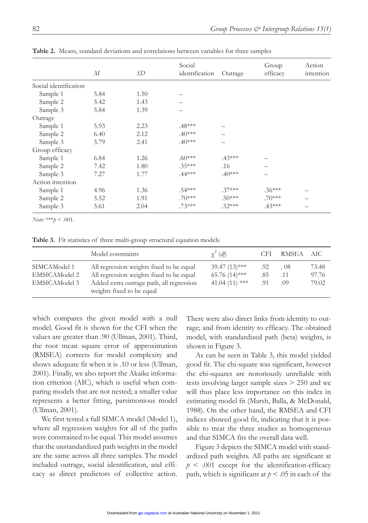|                       | М    | SD   | Social<br>identification | Outrage  | Group<br>efficacy | Action<br>intention |
|-----------------------|------|------|--------------------------|----------|-------------------|---------------------|
| Social identification |      |      |                          |          |                   |                     |
| Sample 1              | 5.84 | 1.50 |                          |          |                   |                     |
| Sample 2              | 5.42 | 1.43 |                          |          |                   |                     |
| Sample 3              | 5.84 | 1.39 |                          |          |                   |                     |
| Outrage               |      |      |                          |          |                   |                     |
| Sample 1              | 5.93 | 2.23 | $.48***$                 |          |                   |                     |
| Sample 2              | 6.40 | 2.12 | $.40***$                 |          |                   |                     |
| Sample 3              | 5.79 | 2.41 | $.40***$                 |          |                   |                     |
| Group efficacy        |      |      |                          |          |                   |                     |
| Sample 1              | 6.84 | 1.26 | $.60***$                 | $.43***$ |                   |                     |
| Sample 2              | 7.42 | 1.80 | $.35***$                 | .16      |                   |                     |
| Sample 3              | 7.27 | 1.77 | $.44***$                 | $.40***$ |                   |                     |
| Action intention      |      |      |                          |          |                   |                     |
| Sample 1              | 4.96 | 1.36 | $.54***$                 | $.37***$ | $.36***$          |                     |
| Sample 2              | 5.52 | 1.91 | $.70***$                 | $.50***$ | $.70***$          |                     |
| Sample 3              | 5.61 | 2.04 | $.73***$                 | $.52***$ | $.43***$          |                     |

**Table 2.** Means, standard deviations and correlations between variables for three samples

*Note*: \*\*\**p* < .001.

**Table 3.** Fit statistics of three multi-group structural equation models

|               | Model constraints                                                     | $\chi^2$ (df)   | CFI | RMSEA AIC |       |
|---------------|-----------------------------------------------------------------------|-----------------|-----|-----------|-------|
| SIMCAModel 1  | All regression weights fixed to be equal                              | $39.47(13)$ *** | .92 | . 08      | 73.48 |
| EMSICAModel 2 | All regression weights fixed to be equal                              | $65.76(14)$ *** | .85 | .11       | 97.76 |
| EMSICAModel 3 | Added extra outrage path, all regression<br>weights fixed to be equal | $41.04(11)$ *** | .91 | .09       | 79.02 |

which compares the given model with a null model. Good fit is shown for the CFI when the values are greater than .90 (Ullman, 2001). Third, the root mean square error of approximation (RMSEA) corrects for model complexity and shows adequate fit when it is .10 or less (Ullman, 2001). Finally, we also report the Akaike information criterion (AIC), which is useful when comparing models that are not nested; a smaller value represents a better fitting, parsimonious model (Ullman, 2001).

We first tested a full SIMCA model (Model 1), where all regression weights for all of the paths were constrained to be equal. This model assumes that the unstandardized path weights in the model are the same across all three samples. The model included outrage, social identification, and efficacy as direct predictors of collective action.

There were also direct links from identity to outrage; and from identity to efficacy. The obtained model, with standardized path (beta) weights, is shown in Figure 3.

As can be seen in Table 3, this model yielded good fit. The chi-square was significant, however the chi-squares are notoriously unreliable with tests involving larger sample sizes > 250 and we will thus place less importance on this index in estimating model fit (Marsh, Balla, & McDonald, 1988). On the other hand, the RMSEA and CFI indices showed good fit, indicating that it is possible to treat the three studies as homogeneous and that SIMCA fits the overall data well.

Figure 3 depicts the SIMCA model with standardized path weights. All paths are significant at  $p \leq 0.001$  except for the identification-efficacy path, which is significant at  $p < .05$  in each of the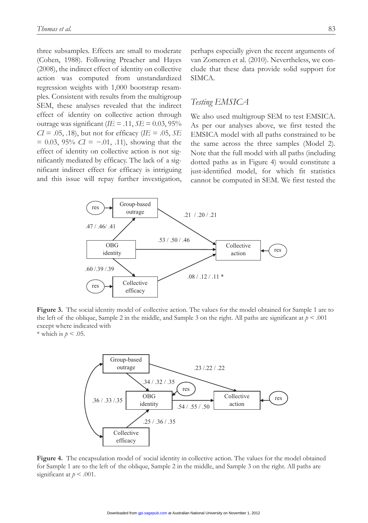three subsamples. Effects are small to moderate (Cohen, 1988). Following Preacher and Hayes (2008), the indirect effect of identity on collective action was computed from unstandardized regression weights with 1,000 bootstrap resamples. Consistent with results from the multigroup SEM, these analyses revealed that the indirect effect of identity on collective action through outrage was significant ( $IE = .11$ ,  $SE = 0.03$ ,  $95\%$ *CI* = .05, .18), but not for efficacy (*IE* = .05, *SE* = 0.03, 95% *CI* = −.01, .11), showing that the effect of identity on collective action is not significantly mediated by efficacy. The lack of a significant indirect effect for efficacy is intriguing and this issue will repay further investigation,

perhaps especially given the recent arguments of van Zomeren et al. (2010). Nevertheless, we conclude that these data provide solid support for SIMCA.

#### *Testing EMSICA*

We also used multigroup SEM to test EMSICA. As per our analyses above, we first tested the EMSICA model with all paths constrained to be the same across the three samples (Model 2). Note that the full model with all paths (including dotted paths as in Figure 4) would constitute a just-identified model, for which fit statistics cannot be computed in SEM. We first tested the



**Figure 3.** The social identity model of collective action. The values for the model obtained for Sample 1 are to the left of the oblique, Sample 2 in the middle, and Sample 3 on the right. All paths are significant at  $p \le 0.001$ except where indicated with \* which is  $p < .05$ .



**Figure 4.** The encapsulation model of social identity in collective action. The values for the model obtained for Sample 1 are to the left of the oblique, Sample 2 in the middle, and Sample 3 on the right. All paths are significant at  $p < .001$ .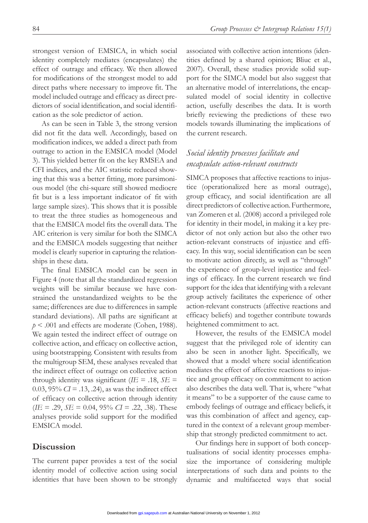strongest version of EMSICA, in which social identity completely mediates (encapsulates) the effect of outrage and efficacy. We then allowed for modifications of the strongest model to add direct paths where necessary to improve fit. The model included outrage and efficacy as direct predictors of social identification, and social identification as the sole predictor of action.

As can be seen in Table 3, the strong version did not fit the data well. Accordingly, based on modification indices, we added a direct path from outrage to action in the EMSICA model (Model 3). This yielded better fit on the key RMSEA and CFI indices, and the AIC statistic reduced showing that this was a better fitting, more parsimonious model (the chi-square still showed mediocre fit but is a less important indicator of fit with large sample sizes). This shows that it is possible to treat the three studies as homogeneous and that the EMSICA model fits the overall data. The AIC criterion is very similar for both the SIMCA and the EMSICA models suggesting that neither model is clearly superior in capturing the relationships in these data.

The final EMSICA model can be seen in Figure 4 (note that all the standardized regression weights will be similar because we have constrained the unstandardized weights to be the same; differences are due to differences in sample standard deviations). All paths are significant at *p* < .001 and effects are moderate (Cohen, 1988). We again tested the indirect effect of outrage on collective action, and efficacy on collective action, using bootstrapping. Consistent with results from the multigroup SEM, these analyses revealed that the indirect effect of outrage on collective action through identity was significant ( $IE = .18$ ,  $SE =$ 0.03, 95% *CI* = .13, .24), as was the indirect effect of efficacy on collective action through identity  $(IE = .29, SE = 0.04, 95\% \ CI = .22, .38)$ . These analyses provide solid support for the modified EMSICA model.

### **Discussion**

The current paper provides a test of the social identity model of collective action using social identities that have been shown to be strongly

associated with collective action intentions (identities defined by a shared opinion; Bliuc et al., 2007). Overall, these studies provide solid support for the SIMCA model but also suggest that an alternative model of interrelations, the encapsulated model of social identity in collective action, usefully describes the data. It is worth briefly reviewing the predictions of these two models towards illuminating the implications of the current research.

# *Social identity processes facilitate and encapsulate action-relevant constructs*

SIMCA proposes that affective reactions to injustice (operationalized here as moral outrage), group efficacy, and social identification are all direct predictors of collective action. Furthermore, van Zomeren et al. (2008) accord a privileged role for identity in their model, in making it a key predictor of not only action but also the other two action-relevant constructs of injustice and efficacy. In this way, social identification can be seen to motivate action directly, as well as "through" the experience of group-level injustice and feelings of efficacy. In the current research we find support for the idea that identifying with a relevant group actively facilitates the experience of other action-relevant constructs (affective reactions and efficacy beliefs) and together contribute towards heightened commitment to act.

However, the results of the EMSICA model suggest that the privileged role of identity can also be seen in another light. Specifically, we showed that a model where social identification mediates the effect of affective reactions to injustice and group efficacy on commitment to action also describes the data well. That is, where "what it means" to be a supporter of the cause came to embody feelings of outrage and efficacy beliefs, it was this combination of affect and agency, captured in the context of a relevant group membership that strongly predicted commitment to act.

Our findings here in support of both conceptualisations of social identity processes emphasize the importance of considering multiple interpretations of such data and points to the dynamic and multifaceted ways that social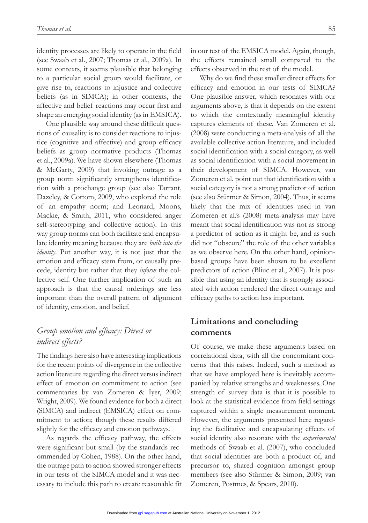identity processes are likely to operate in the field (see Swaab et al., 2007; Thomas et al., 2009a). In some contexts, it seems plausible that belonging to a particular social group would facilitate, or give rise to, reactions to injustice and collective beliefs (as in SIMCA); in other contexts, the affective and belief reactions may occur first and shape an emerging social identity (as in EMSICA).

One plausible way around these difficult questions of causality is to consider reactions to injustice (cognitive and affective) and group efficacy beliefs as group normative products (Thomas et al., 2009a). We have shown elsewhere (Thomas & McGarty, 2009) that invoking outrage as a group norm significantly strengthens identification with a prochange group (see also Tarrant, Dazeley, & Cottom, 2009, who explored the role of an empathy norm; and Leonard, Moons, Mackie, & Smith, 2011, who considered anger self-stereotyping and collective action). In this way group norms can both facilitate and encapsulate identity meaning because they are *built into the identity*. Put another way, it is not just that the emotion and efficacy stem from, or causally precede, identity but rather that they *inform* the collective self. One further implication of such an approach is that the causal orderings are less important than the overall pattern of alignment of identity, emotion, and belief.

# *Group emotion and efficacy: Direct or indirect effects?*

The findings here also have interesting implications for the recent points of divergence in the collective action literature regarding the direct versus indirect effect of emotion on commitment to action (see commentaries by van Zomeren & Iyer, 2009; Wright, 2009). We found evidence for both a direct (SIMCA) and indirect (EMSICA) effect on commitment to action; though these results differed slightly for the efficacy and emotion pathways.

As regards the efficacy pathway, the effects were significant but small (by the standards recommended by Cohen, 1988). On the other hand, the outrage path to action showed stronger effects in our tests of the SIMCA model and it was necessary to include this path to create reasonable fit in our test of the EMSICA model. Again, though, the effects remained small compared to the effects observed in the rest of the model.

Why do we find these smaller direct effects for efficacy and emotion in our tests of SIMCA? One plausible answer, which resonates with our arguments above, is that it depends on the extent to which the contextually meaningful identity captures elements of these. Van Zomeren et al. (2008) were conducting a meta-analysis of all the available collective action literature, and included social identification with a social category, as well as social identification with a social movement in their development of SIMCA. However, van Zomeren et al. point out that identification with a social category is not a strong predictor of action (see also Stürmer & Simon, 2004). Thus, it seems likely that the mix of identities used in van Zomeren et al.'s (2008) meta-analysis may have meant that social identification was not as strong a predictor of action as it might be, and as such did not "obscure" the role of the other variables as we observe here. On the other hand, opinionbased groups have been shown to be excellent predictors of action (Bliuc et al., 2007). It is possible that using an identity that is strongly associated with action rendered the direct outrage and efficacy paths to action less important.

# **Limitations and concluding comments**

Of course, we make these arguments based on correlational data, with all the concomitant concerns that this raises. Indeed, such a method as that we have employed here is inevitably accompanied by relative strengths and weaknesses. One strength of survey data is that it is possible to look at the statistical evidence from field settings captured within a single measurement moment. However, the arguments presented here regarding the facilitative and encapsulating effects of social identity also resonate with the *experimental* methods of Swaab et al. (2007), who concluded that social identities are both a product of, and precursor to, shared cognition amongst group members (see also Stürmer & Simon, 2009; van Zomeren, Postmes, & Spears, 2010).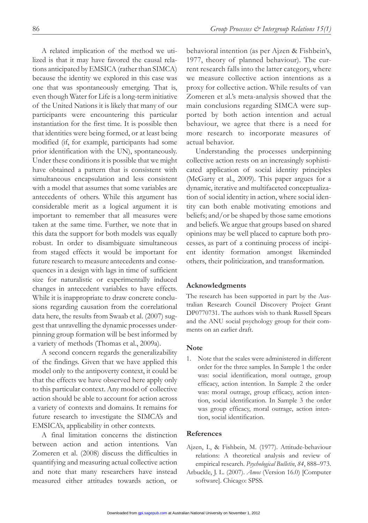A related implication of the method we utilized is that it may have favored the causal relations anticipated by EMSICA (rather than SIMCA) because the identity we explored in this case was one that was spontaneously emerging. That is, even though Water for Life is a long-term initiative of the United Nations it is likely that many of our participants were encountering this particular instantiation for the first time. It is possible then that identities were being formed, or at least being modified (if, for example, participants had some prior identification with the UN), spontaneously. Under these conditions it is possible that we might have obtained a pattern that is consistent with simultaneous encapsulation and less consistent with a model that assumes that some variables are antecedents of others. While this argument has considerable merit as a logical argument it is important to remember that all measures were taken at the same time. Further, we note that in this data the support for both models was equally robust. In order to disambiguate simultaneous from staged effects it would be important for future research to measure antecedents and consequences in a design with lags in time of sufficient size for naturalistic or experimentally induced changes in antecedent variables to have effects. While it is inappropriate to draw concrete conclusions regarding causation from the correlational data here, the results from Swaab et al. (2007) suggest that unravelling the dynamic processes underpinning group formation will be best informed by a variety of methods (Thomas et al., 2009a).

A second concern regards the generalizability of the findings. Given that we have applied this model only to the antipoverty context, it could be that the effects we have observed here apply only to this particular context. Any model of collective action should be able to account for action across a variety of contexts and domains. It remains for future research to investigate the SIMCA's and EMSICA's, applicability in other contexts.

A final limitation concerns the distinction between action and action intentions. Van Zomeren et al. (2008) discuss the difficulties in quantifying and measuring actual collective action and note that many researchers have instead measured either attitudes towards action, or

behavioral intention (as per Ajzen & Fishbein's, 1977, theory of planned behaviour). The current research falls into the latter category, where we measure collective action intentions as a proxy for collective action. While results of van Zomeren et al.'s meta-analysis showed that the main conclusions regarding SIMCA were supported by both action intention and actual behaviour, we agree that there is a need for more research to incorporate measures of actual behavior.

Understanding the processes underpinning collective action rests on an increasingly sophisticated application of social identity principles (McGarty et al., 2009). This paper argues for a dynamic, iterative and multifaceted conceptualization of social identity in action, where social identity can both enable motivating emotions and beliefs; and/or be shaped by those same emotions and beliefs. We argue that groups based on shared opinions may be well placed to capture both processes, as part of a continuing process of incipient identity formation amongst likeminded others, their politicization, and transformation.

#### **Acknowledgments**

The research has been supported in part by the Australian Research Council Discovery Project Grant DP0770731. The authors wish to thank Russell Spears and the ANU social psychology group for their comments on an earlier draft.

#### **Note**

1. Note that the scales were administered in different order for the three samples. In Sample 1 the order was: social identification, moral outrage, group efficacy, action intention. In Sample 2 the order was: moral outrage, group efficacy, action intention, social identification. In Sample 3 the order was group efficacy, moral outrage, action intention, social identification.

#### **References**

- Ajzen, I., & Fishbein, M. (1977). Attitude-behaviour relations: A theoretical analysis and review of empirical research. *Psychological Bulletin*, *84*, 888–973.
- Arbuckle, J. L. (2007). *Amos* (Version 16.0) [Computer software]. Chicago: SPSS.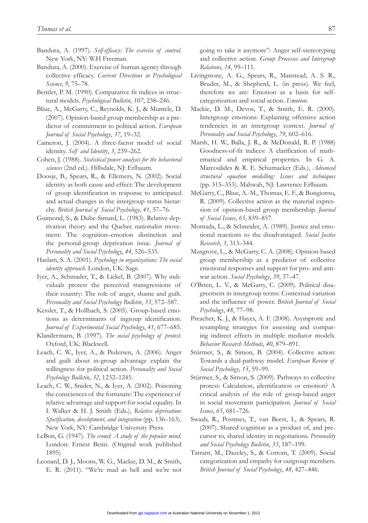- Bandura, A. (1997). *Self-efficacy: The exercise of control*. New York, NY: W.H Freeman.
- Bandura, A. (2000). Exercise of human agency through collective efficacy. *Current Directions in Psychological Science*, *9*, 75–78.
- Bentler, P. M. (1990). Comparative fit indices in structural models. *Psychological Bulletin*, *107*, 238–246.
- Bliuc, A., McGarty, C., Reynolds, K. J., & Muntele, D. (2007). Opinion-based group membership as a predictor of commitment to political action. *European Journal of Social Psychology*, *37*, 19–32.
- Cameron, J. (2004). A three-factor model of social identity. *Self and Identity*, *3*, 239–262.
- Cohen, J. (1988). *Statistical power analysis for the behavioral sciences* (2nd ed.). Hillsdale, NJ: Erlbaum.
- Doosje, B., Spears, R., & Ellemers, N. (2002). Social identity as both cause and effect: The development of group identification in response to anticipated and actual changes in the intergroup status hierarchy. *British Journal of Social Psychology*, *41*, 57–76.
- Guimond, S., & Dube-Simard, L. (1983). Relative deprivation theory and the Quebec nationalist movement: The cognition–emotion distinction and the personal-group deprivation issue. *Journal of Personality and Social Psychology*, *44*, 526–535.
- Haslam, S. A. (2001). *Psychology in organizations: The social identity approach*. London, UK: Sage.
- Iyer, A., Schmader, T., & Lickel, B. (2007). Why individuals protest the perceived transgressions of their country: The role of anger, shame and guilt. *Personality and Social Psychology Bulletin*, *33*, 572–587.
- Kessler, T., & Hollbach, S. (2005). Group-based emotions as determinants of ingroup identification. *Journal of Experimental Social Psychology*, *41*, 677–685.
- Klandermans, B. (1997). *The social psychology of protest*. Oxford, UK: Blackwell.
- Leach, C. W., Iyer, A., & Pedersen, A. (2006). Anger and guilt about in-group advantage explain the willingness for political action. *Personality and Social Psychology Bulletin*, *32*, 1232–1245.
- Leach, C. W., Snider, N., & Iyer, A. (2002). Poisoning the consciences of the fortunate: The experience of relative advantage and support for social equality. In I. Walker & H. J. Smith (Eds.), *Relative deprivation: Specification, development, and integration* (pp. 136–163). New York, NY: Cambridge University Press.
- LeBon, G. (1947). *The crowd: A study of the popular mind*. London: Ernest Benn. (Original work published 1895)
- Leonard, D. J., Moons, W. G., Mackie, D. M., & Smith, E. R. (2011). "We're mad as hell and we're not

going to take it anymore": Anger self-stereotyping and collective action. *Group Processes and Intergroup Relations*, *14*, 99–111.

- Livingstone, A. G., Spears, R., Manstead, A. S. R., Bruder, M., & Shepherd, L. (in press). We feel, therefore we are: Emotion as a basis for selfcategorization and social action. *Emotion*.
- Mackie, D. M., Devos, T., & Smith, E. R. (2000). Intergroup emotions: Explaining offensive action tendencies in an intergroup context. *Journal of Personality and Social Psychology*, *79*, 602–616.
- Marsh, H. W., Balla, J. R., & McDonald, R. P. (1988) Goodness-of-fit indices: A clarification of mathematical and empirical properties. In G. A. Marcoulides & R. E. Schumacker (Eds.), *Advanced structural equation modelling: Issues and techniques* (pp. 315–353). Mahwah, NJ: Lawrence Erlbaum.
- McGarty, C., Bliuc, A.-M., Thomas, E. F., & Bongiorno, R. (2009). Collective action as the material expression of opinion-based group membership. *Journal of Social Issues*, *65*, 839–857.
- Montada, L., & Schneider, A. (1989). Justice and emotional reactions to the disadvantaged. *Social Justice Research*, *3*, 313–344.
- Musgrove, L., & McGarty, C. A. (2008). Opinion-based group membership as a predictor of collective emotional responses and support for pro- and antiwar action. *Social Psychology*, *39*, 37–47.
- O'Brien, L. V., & McGarty, C. (2009). Political disagreement in intergroup terms: Contextual variation and the influence of power. *British Journal of Social Psychology*, *48*, 77–98.
- Preacher, K. J., & Hayes, A. F. (2008). Asymptotic and resampling strategies for assessing and comparing indirect effects in multiple mediator models. *Behavior Research Methods*, *40*, 879–891.
- Stürmer, S., & Simon, B. (2004). Collective action: Towards a dual-pathway model. *European Review of Social Psychology*, *15*, 59–99.
- Stürmer, S., & Simon, S. (2009). Pathways to collective protest: Calculation, identification or emotion? A critical analysis of the role of group-based anger in social movement participation. *Journal of Social Issues*, *65*, 681–726.
- Swaab, R., Postmes, T., van Beest, I., & Spears, R. (2007). Shared cognition as a product of, and precursor to, shared identity in negotiations. *Personality and Social Psychology Bulletin*, *33*, 187–199.
- Tarrant, M., Dazeley, S., & Cottom, T. (2009). Social categorization and empathy for outgroup members. *British Journal of Social Psychology*, *48*, 427–446.